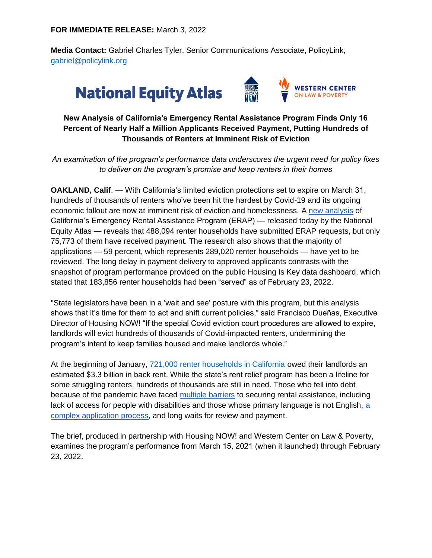**Media Contact:** Gabriel Charles Tyler, Senior Communications Associate, PolicyLink, gabriel@policylink.org

# **National Equity Atlas**



## **New Analysis of California's Emergency Rental Assistance Program Finds Only 16 Percent of Nearly Half a Million Applicants Received Payment, Putting Hundreds of Thousands of Renters at Imminent Risk of Eviction**

*An examination of the program's performance data underscores the urgent need for policy fixes to deliver on the program's promise and keep renters in their homes*

**OAKLAND, Calif**. — With California's limited eviction protections set to expire on March 31, hundreds of thousands of renters who've been hit the hardest by Covid-19 and its ongoing economic fallout are now at imminent risk of eviction and homelessness. A [new analysis](https://plcylk.org/ca-rent-debt) of California's Emergency Rental Assistance Program (ERAP) — released today by the National Equity Atlas — reveals that 488,094 renter households have submitted ERAP requests, but only 75,773 of them have received payment. The research also shows that the majority of applications — 59 percent, which represents 289,020 renter households — have yet to be reviewed. The long delay in payment delivery to approved applicants contrasts with the snapshot of program performance provided on the public Housing Is Key data dashboard, which stated that 183,856 renter households had been "served" as of February 23, 2022.

"State legislators have been in a 'wait and see' posture with this program, but this analysis shows that it's time for them to act and shift current policies," said Francisco Dueñas, Executive Director of Housing NOW! "If the special Covid eviction court procedures are allowed to expire, landlords will evict hundreds of thousands of Covid-impacted renters, undermining the program's intent to keep families housed and make landlords whole."

At the beginning of January[,](https://nationalequityatlas.org/rent-debt) [721,000 renter households in California](https://nationalequityatlas.org/rent-debt) owed their landlords an estimated \$3.3 billion in back rent. While the state's rent relief program has been a lifeline for some struggling renters, hundreds of thousands are still in need. Those who fell into debt because of the pandemic have faced [multiple barriers](https://actionnetwork.org/user_files/user_files/000/072/973/original/TT_2021-22_ERAP_Survey.pdf) to securing rental assistance, including lack of access for people with disabilities and those whose primary language is not English, [a](https://www.policylink.org/research/preventing_an_eviction_epidemic)  [complex application process,](https://www.policylink.org/research/preventing_an_eviction_epidemic) and long waits for review and payment.

The brief, produced in partnership with Housing NOW! and Western Center on Law & Poverty, examines the program's performance from March 15, 2021 (when it launched) through February 23, 2022.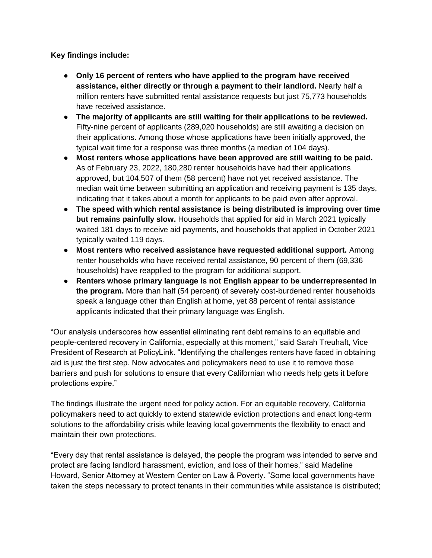**Key findings include:**

- **Only 16 percent of renters who have applied to the program have received assistance, either directly or through a payment to their landlord.** Nearly half a million renters have submitted rental assistance requests but just 75,773 households have received assistance.
- **The majority of applicants are still waiting for their applications to be reviewed.** Fifty-nine percent of applicants (289,020 households) are still awaiting a decision on their applications. Among those whose applications have been initially approved, the typical wait time for a response was three months (a median of 104 days).
- **Most renters whose applications have been approved are still waiting to be paid.**  As of February 23, 2022, 180,280 renter households have had their applications approved, but 104,507 of them (58 percent) have not yet received assistance. The median wait time between submitting an application and receiving payment is 135 days, indicating that it takes about a month for applicants to be paid even after approval.
- **The speed with which rental assistance is being distributed is improving over time but remains painfully slow.** Households that applied for aid in March 2021 typically waited 181 days to receive aid payments, and households that applied in October 2021 typically waited 119 days.
- **Most renters who received assistance have requested additional support.** Among renter households who have received rental assistance, 90 percent of them (69,336 households) have reapplied to the program for additional support.
- **Renters whose primary language is not English appear to be underrepresented in the program.** More than half (54 percent) of severely cost-burdened renter households speak a language other than English at home, yet 88 percent of rental assistance applicants indicated that their primary language was English.

"Our analysis underscores how essential eliminating rent debt remains to an equitable and people-centered recovery in California, especially at this moment," said Sarah Treuhaft, Vice President of Research at PolicyLink. "Identifying the challenges renters have faced in obtaining aid is just the first step. Now advocates and policymakers need to use it to remove those barriers and push for solutions to ensure that every Californian who needs help gets it before protections expire."

The findings illustrate the urgent need for policy action. For an equitable recovery, California policymakers need to act quickly to extend statewide eviction protections and enact long-term solutions to the affordability crisis while leaving local governments the flexibility to enact and maintain their own protections.

"Every day that rental assistance is delayed, the people the program was intended to serve and protect are facing landlord harassment, eviction, and loss of their homes," said Madeline Howard, Senior Attorney at Western Center on Law & Poverty. "Some local governments have taken the steps necessary to protect tenants in their communities while assistance is distributed;